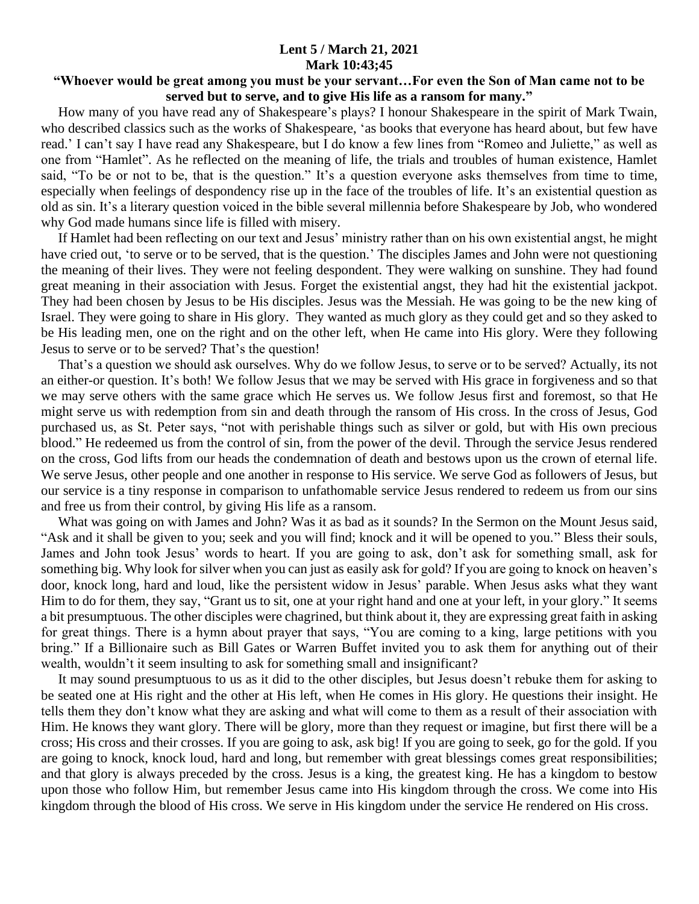## **Lent 5 / March 21, 2021 Mark 10:43;45**

## **"Whoever would be great among you must be your servant…For even the Son of Man came not to be served but to serve, and to give His life as a ransom for many."**

 How many of you have read any of Shakespeare's plays? I honour Shakespeare in the spirit of Mark Twain, who described classics such as the works of Shakespeare, 'as books that everyone has heard about, but few have read.' I can't say I have read any Shakespeare, but I do know a few lines from "Romeo and Juliette," as well as one from "Hamlet". As he reflected on the meaning of life, the trials and troubles of human existence, Hamlet said, "To be or not to be, that is the question." It's a question everyone asks themselves from time to time, especially when feelings of despondency rise up in the face of the troubles of life. It's an existential question as old as sin. It's a literary question voiced in the bible several millennia before Shakespeare by Job, who wondered why God made humans since life is filled with misery.

 If Hamlet had been reflecting on our text and Jesus' ministry rather than on his own existential angst, he might have cried out, 'to serve or to be served, that is the question.' The disciples James and John were not questioning the meaning of their lives. They were not feeling despondent. They were walking on sunshine. They had found great meaning in their association with Jesus. Forget the existential angst, they had hit the existential jackpot. They had been chosen by Jesus to be His disciples. Jesus was the Messiah. He was going to be the new king of Israel. They were going to share in His glory. They wanted as much glory as they could get and so they asked to be His leading men, one on the right and on the other left, when He came into His glory. Were they following Jesus to serve or to be served? That's the question!

 That's a question we should ask ourselves. Why do we follow Jesus, to serve or to be served? Actually, its not an either-or question. It's both! We follow Jesus that we may be served with His grace in forgiveness and so that we may serve others with the same grace which He serves us. We follow Jesus first and foremost, so that He might serve us with redemption from sin and death through the ransom of His cross. In the cross of Jesus, God purchased us, as St. Peter says, "not with perishable things such as silver or gold, but with His own precious blood." He redeemed us from the control of sin, from the power of the devil. Through the service Jesus rendered on the cross, God lifts from our heads the condemnation of death and bestows upon us the crown of eternal life. We serve Jesus, other people and one another in response to His service. We serve God as followers of Jesus, but our service is a tiny response in comparison to unfathomable service Jesus rendered to redeem us from our sins and free us from their control, by giving His life as a ransom.

 What was going on with James and John? Was it as bad as it sounds? In the Sermon on the Mount Jesus said, "Ask and it shall be given to you; seek and you will find; knock and it will be opened to you." Bless their souls, James and John took Jesus' words to heart. If you are going to ask, don't ask for something small, ask for something big. Why look for silver when you can just as easily ask for gold? If you are going to knock on heaven's door, knock long, hard and loud, like the persistent widow in Jesus' parable. When Jesus asks what they want Him to do for them, they say, "Grant us to sit, one at your right hand and one at your left, in your glory." It seems a bit presumptuous. The other disciples were chagrined, but think about it, they are expressing great faith in asking for great things. There is a hymn about prayer that says, "You are coming to a king, large petitions with you bring." If a Billionaire such as Bill Gates or Warren Buffet invited you to ask them for anything out of their wealth, wouldn't it seem insulting to ask for something small and insignificant?

 It may sound presumptuous to us as it did to the other disciples, but Jesus doesn't rebuke them for asking to be seated one at His right and the other at His left, when He comes in His glory. He questions their insight. He tells them they don't know what they are asking and what will come to them as a result of their association with Him. He knows they want glory. There will be glory, more than they request or imagine, but first there will be a cross; His cross and their crosses. If you are going to ask, ask big! If you are going to seek, go for the gold. If you are going to knock, knock loud, hard and long, but remember with great blessings comes great responsibilities; and that glory is always preceded by the cross. Jesus is a king, the greatest king. He has a kingdom to bestow upon those who follow Him, but remember Jesus came into His kingdom through the cross. We come into His kingdom through the blood of His cross. We serve in His kingdom under the service He rendered on His cross.